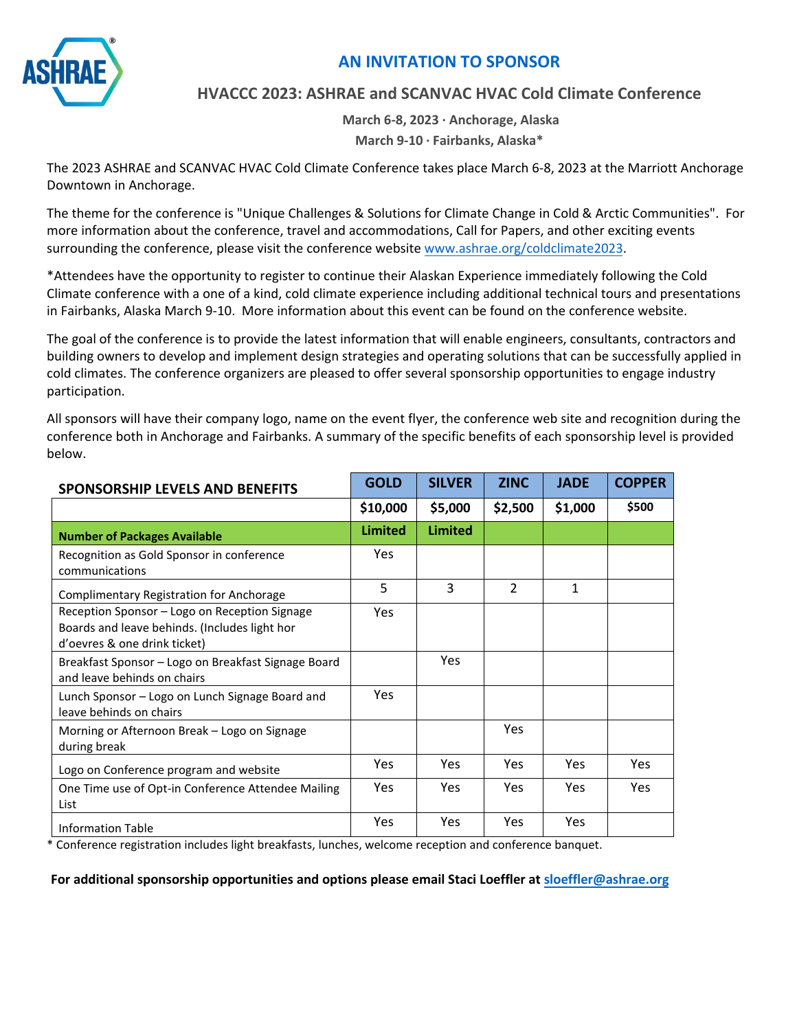

## **AN INVITATION TO SPONSOR**

### **HVACCC 2023: ASHRAE and SCANVAC HVAC Cold Climate Conference**

**March 6-8, 2023 ∙ Anchorage, Alaska March 9-10 · Fairbanks, Alaska\*** 

The 2023 ASHRAE and SCANVAC HVAC Cold Climate Conference takes place March 6-8, 2023 at the Marriott Anchorage Downtown in Anchorage.

The theme for the conference is "Unique Challenges & Solutions for Climate Change in Cold & Arctic Communities". For more information about the conference, travel and accommodations, Call for Papers, and other exciting events surrounding the conference, please visit the conference website www.ashrae.org/coldclimate2023.

\*Attendees have th[e opportunity to register to continu](https://www.ashrae.org/conferences/topical-conferences/hvac-cold-climate-conference-2023)e their Alaskan Experience immediately following the Cold Climate conference with a one of a kind, cold climate experience including additional technical tours and presentations in Fairbanks, Alaska March 9-10. More information about this event can be found on the conference website.

The goal of the conference is to provide the latest information that will enable engineers, consultants, contractors and building owners to develop and implement design strategies and operating solutions that can be successfully applied in cold climates. The conference organizers are pleased to offer several sponsorship opportunities to engage industry participation.

All sponsors will have their company logo, name on the event flyer, the conference web site and recognition during the conference both in Anchorage and Fairbanks. A summary of the specific benefits of each sponsorship level is provided below.

| <b>SPONSORSHIP LEVELS AND BENEFITS</b>                                                                                         | <b>GOLD</b>    | <b>SILVER</b>  | <b>ZINC</b>   | <b>JADE</b> | <b>COPPER</b> |
|--------------------------------------------------------------------------------------------------------------------------------|----------------|----------------|---------------|-------------|---------------|
|                                                                                                                                | \$10,000       | \$5,000        | \$2,500       | \$1,000     | \$500         |
| <b>Number of Packages Available</b>                                                                                            | <b>Limited</b> | <b>Limited</b> |               |             |               |
| Recognition as Gold Sponsor in conference<br>communications                                                                    | <b>Yes</b>     |                |               |             |               |
| Complimentary Registration for Anchorage                                                                                       | 5              | 3              | $\mathcal{P}$ | 1           |               |
| Reception Sponsor - Logo on Reception Signage<br>Boards and leave behinds. (Includes light hor<br>d'oevres & one drink ticket) | <b>Yes</b>     |                |               |             |               |
| Breakfast Sponsor – Logo on Breakfast Signage Board<br>and leave behinds on chairs                                             |                | <b>Yes</b>     |               |             |               |
| Lunch Sponsor – Logo on Lunch Signage Board and<br>leave behinds on chairs                                                     | <b>Yes</b>     |                |               |             |               |
| Morning or Afternoon Break - Logo on Signage<br>during break                                                                   |                |                | <b>Yes</b>    |             |               |
| Logo on Conference program and website                                                                                         | <b>Yes</b>     | <b>Yes</b>     | <b>Yes</b>    | <b>Yes</b>  | <b>Yes</b>    |
| One Time use of Opt-in Conference Attendee Mailing<br>List                                                                     | <b>Yes</b>     | <b>Yes</b>     | <b>Yes</b>    | <b>Yes</b>  | <b>Yes</b>    |
| <b>Information Table</b>                                                                                                       | <b>Yes</b>     | Yes            | <b>Yes</b>    | Yes         |               |

\* Conference registration includes light breakfasts, lunches, welcome reception and confere[nce banquet.](mailto:sloeffler@ashrae.org)

**For additional sponsorship opportunities and options please email Staci Loeffler at sloeffler@ashrae.org**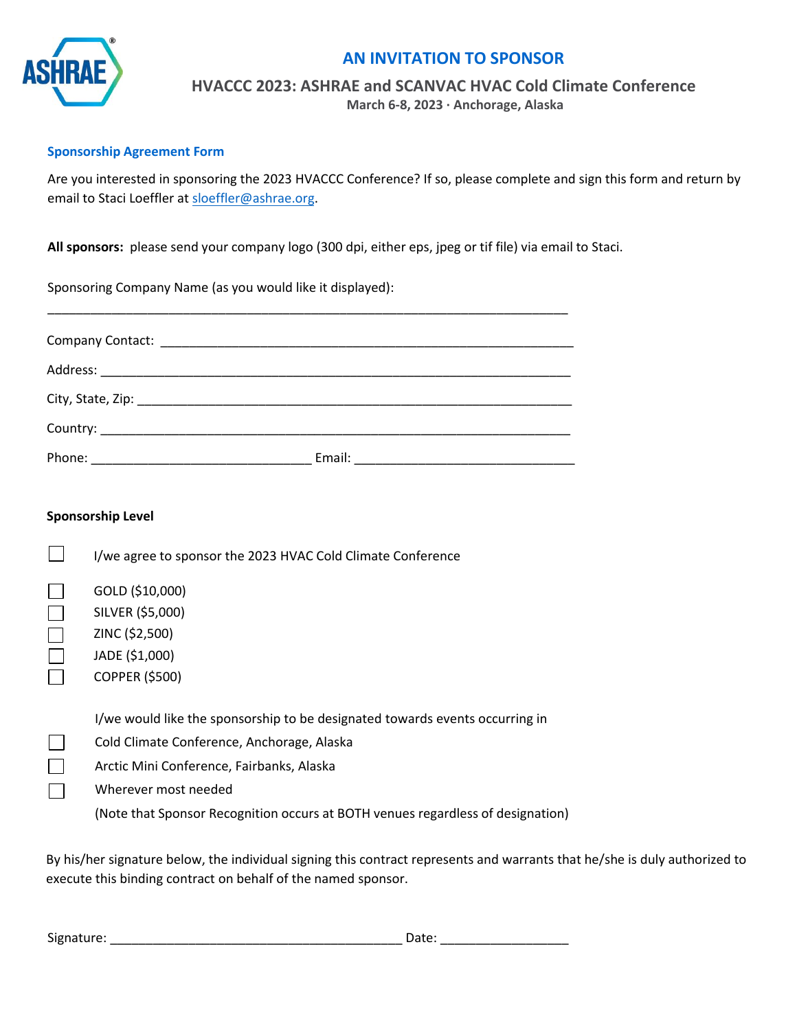

## **AN INVITATION TO SPONSOR**

**HVACCC 2023: ASHRAE and SCANVAC HVAC Cold Climate Conference** 

**March 6-8, 2023 ∙ Anchorage, Alaska** 

#### **Sponsorship Agreement Form**

Are you interested in sponsoring the 2023 HVACCC Conference? If so, please complete and sign this form and return by email to Staci Loeffler at sloeffler@ashrae.org.

**All sponsors:** please se[nd your company logo](mailto:sloeffler@ashrae.org) (300 dpi, either eps, jpeg or tif file) via email to Staci.

Sponsoring Company Name (as you would like it displayed):

| Email: |
|--------|

| <b>Sponsorship Level</b> |                                                                                                                                                                                                                                                                                    |  |  |  |
|--------------------------|------------------------------------------------------------------------------------------------------------------------------------------------------------------------------------------------------------------------------------------------------------------------------------|--|--|--|
|                          | I/we agree to sponsor the 2023 HVAC Cold Climate Conference                                                                                                                                                                                                                        |  |  |  |
|                          | GOLD (\$10,000)<br>SILVER (\$5,000)<br>ZINC (\$2,500)<br>JADE (\$1,000)<br><b>COPPER (\$500)</b>                                                                                                                                                                                   |  |  |  |
|                          | I/we would like the sponsorship to be designated towards events occurring in<br>Cold Climate Conference, Anchorage, Alaska<br>Arctic Mini Conference, Fairbanks, Alaska<br>Wherever most needed<br>(Note that Sponsor Recognition occurs at BOTH venues regardless of designation) |  |  |  |

By his/her signature below, the individual signing this contract represents and warrants that he/she is duly authorized to execute this binding contract on behalf of the named sponsor.

Signature: \_\_\_\_\_\_\_\_\_\_\_\_\_\_\_\_\_\_\_\_\_\_\_\_\_\_\_\_\_\_\_\_\_\_\_\_\_\_\_\_\_ Date: \_\_\_\_\_\_\_\_\_\_\_\_\_\_\_\_\_\_